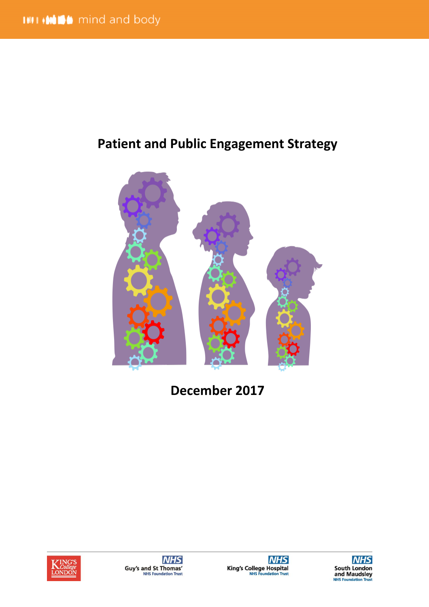# **Patient and Public Engagement Strategy**



**December 2017**







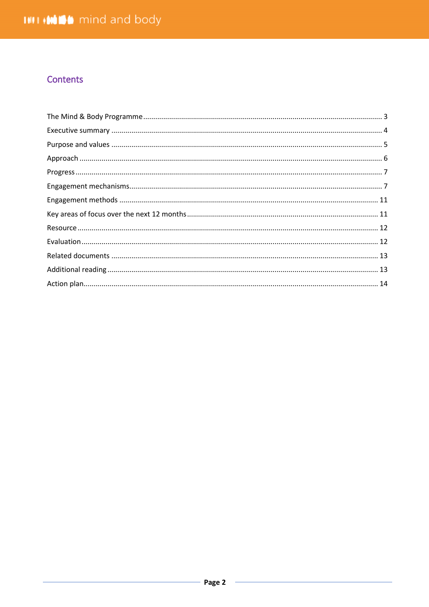# Contents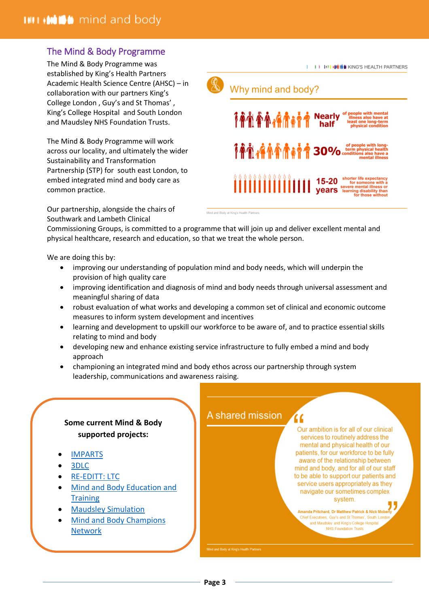# <span id="page-2-0"></span>The Mind & Body Programme

The Mind & Body Programme was established by King's Health Partners Academic Health Science Centre (AHSC) – in collaboration with our partners King's College London , Guy's and St Thomas' , King's College Hospital and South London and Maudsley NHS Foundation Trusts.

The Mind & Body Programme will work across our locality, and ultimately the wider Sustainability and Transformation Partnership (STP) for south east London, to embed integrated mind and body care as common practice.

Our partnership, alongside the chairs of Southwark and Lambeth Clinical



Mind and Body at King's Health Partners

Commissioning Groups, is committed to a programme that will join up and deliver excellent mental and physical healthcare, research and education, so that we treat the whole person.

We are doing this by:

- improving our understanding of population mind and body needs, which will underpin the provision of high quality care
- improving identification and diagnosis of mind and body needs through universal assessment and meaningful sharing of data
- robust evaluation of what works and developing a common set of clinical and economic outcome measures to inform system development and incentives
- learning and development to upskill our workforce to be aware of, and to practice essential skills relating to mind and body

A shared mission

- developing new and enhance existing service infrastructure to fully embed a mind and body approach
- championing an integrated mind and body ethos across our partnership through system leadership, communications and awareness raising.

# **Some current Mind & Body supported projects:**

- [IMPARTS](https://www.kcl.ac.uk/ioppn/depts/pm/research/imparts/index.aspx3)
- [3DLC](http://www.kingshealthpartners.org/latest/427-3-dimensions-for-longterm-conditions)
- [RE-EDITT: LTC](http://www.kingshealthpartners.org/latest/1370-depression-and-anxiety-in-longterm-conditions-the-reeditt-project)
- [Mind and Body Education and](http://www.kingshealthpartners.org/our-work/mind-and-body/training)  **Training**
- [Maudsley Simulation](http://www.maudsleysimulation.com/)
- [Mind and Body Champions](http://www.kingshealthpartners.org/mindbody/champions)  **[Network](http://www.kingshealthpartners.org/mindbody/champions)**

Our ambition is for all of our clinical services to routinely address the mental and physical health of our patients, for our workforce to be fully aware of the relationship between mind and body, and for all of our staff to be able to support our patients and service users appropriately as they navigate our sometimes complex system.

nda Pritchard, Dr Matthew Patrick & Nick Mobe Chief Executives, Guy's and St Thomas', South Londo and Maudsley and King's College Hospital NHS Foundation Trusts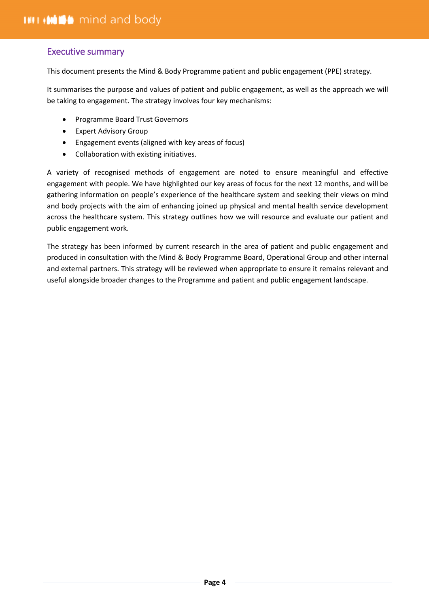# <span id="page-3-0"></span>Executive summary

This document presents the Mind & Body Programme patient and public engagement (PPE) strategy.

It summarises the purpose and values of patient and public engagement, as well as the approach we will be taking to engagement. The strategy involves four key mechanisms:

- Programme Board Trust Governors
- Expert Advisory Group
- Engagement events (aligned with key areas of focus)
- Collaboration with existing initiatives.

A variety of recognised methods of engagement are noted to ensure meaningful and effective engagement with people. We have highlighted our key areas of focus for the next 12 months, and will be gathering information on people's experience of the healthcare system and seeking their views on mind and body projects with the aim of enhancing joined up physical and mental health service development across the healthcare system. This strategy outlines how we will resource and evaluate our patient and public engagement work.

The strategy has been informed by current research in the area of patient and public engagement and produced in consultation with the Mind & Body Programme Board, Operational Group and other internal and external partners. This strategy will be reviewed when appropriate to ensure it remains relevant and useful alongside broader changes to the Programme and patient and public engagement landscape.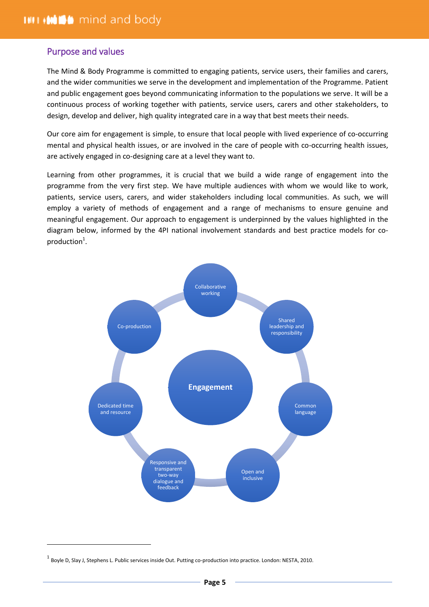# <span id="page-4-0"></span>Purpose and values

The Mind & Body Programme is committed to engaging patients, service users, their families and carers, and the wider communities we serve in the development and implementation of the Programme. Patient and public engagement goes beyond communicating information to the populations we serve. It will be a continuous process of working together with patients, service users, carers and other stakeholders, to design, develop and deliver, high quality integrated care in a way that best meets their needs.

Our core aim for engagement is simple, to ensure that local people with lived experience of co-occurring mental and physical health issues, or are involved in the care of people with co-occurring health issues, are actively engaged in co-designing care at a level they want to.

Learning from other programmes, it is crucial that we build a wide range of engagement into the programme from the very first step. We have multiple audiences with whom we would like to work, patients, service users, carers, and wider stakeholders including local communities. As such, we will employ a variety of methods of engagement and a range of mechanisms to ensure genuine and meaningful engagement. Our approach to engagement is underpinned by the values highlighted in the diagram below, informed by the 4PI national involvement standards and best practice models for coproduction $^1$ .



 $\overline{a}$ 

 $^{\text{1}}$  Boyle D, Slay J, Stephens L. Public services inside Out. Putting co-production into practice. London: NESTA, 2010.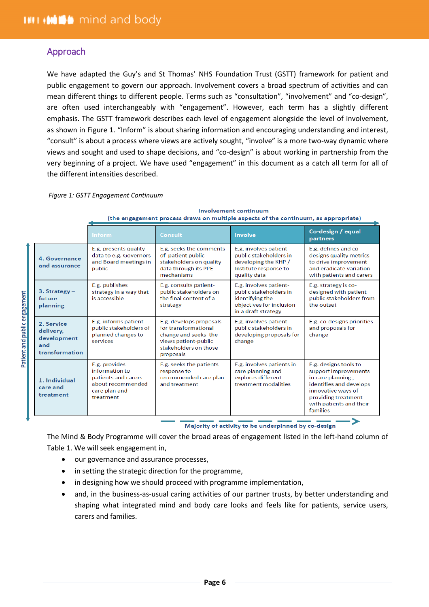# <span id="page-5-0"></span>Approach

We have adapted the Guy's and St Thomas' NHS Foundation Trust (GSTT) framework for patient and public engagement to govern our approach. Involvement covers a broad spectrum of activities and can mean different things to different people. Terms such as "consultation", "involvement" and "co-design", are often used interchangeably with "engagement". However, each term has a slightly different emphasis. The GSTT framework describes each level of engagement alongside the level of involvement, as shown in Figure 1. "Inform" is about sharing information and encouraging understanding and interest, "consult" is about a process where views are actively sought, "involve" is a more two-way dynamic where views and sought and used to shape decisions, and "co-design" is about working in partnership from the very beginning of a project. We have used "engagement" in this document as a catch all term for all of the different intensities described.

#### *Figure 1: GSTT Engagement Continuum*

|                                                                 | Inform                                                                                                    | Consult                                                                                                                               | <b>Involve</b>                                                                                                         | Co-design / equal<br>partners                                                                                                                                                     |  |
|-----------------------------------------------------------------|-----------------------------------------------------------------------------------------------------------|---------------------------------------------------------------------------------------------------------------------------------------|------------------------------------------------------------------------------------------------------------------------|-----------------------------------------------------------------------------------------------------------------------------------------------------------------------------------|--|
| 4. Governance<br>and assurance                                  | E.g. presents quality<br>data to e.g. Governors<br>and Board meetings in<br>public                        | E.g. seeks the comments<br>of patient public-<br>stakeholders on quality<br>data through its PPE<br>mechanisms                        | E.g. involves patient-<br>public stakeholders in<br>developing the KHP /<br>Institute response to<br>quality data      | E.g. defines and co-<br>designs quality metrics<br>to drive improvement<br>and eradicate variation<br>with patients and carers                                                    |  |
| 3. Strategy $-$<br>future<br>planning                           | E.g. publishes<br>strategy in a way that<br>is accessible                                                 | E.g. consults patient-<br>public stakeholders on<br>the final content of a<br>strategy                                                | E.g. involves patient-<br>public stakeholders in<br>identifying the<br>objectives for inclusion<br>in a draft strategy | E.g. strategy is co-<br>designed with patient<br>public stakeholders from<br>the outset                                                                                           |  |
| 2. Service<br>delivery,<br>development<br>and<br>transformation | E.g. informs patient-<br>public stakeholders of<br>planned changes to<br>services                         | E.g. develops proposals<br>for transformational<br>change and seeks the<br>views patient-public<br>stakeholders on those<br>proposals | E.g. involves patient-<br>public stakeholders in<br>developing proposals for<br>change                                 | E.g. co-designs priorities<br>and proposals for<br>change                                                                                                                         |  |
| 1. Individual<br>care and<br>treatment                          | E.g. provides<br>information to<br>patients and carers<br>about recommended<br>care plan and<br>treatment | E.g. seeks the patients<br>response to<br>recommended care plan<br>and treatment                                                      | E.g. involves patients in<br>care planning and<br>explores different<br>treatment modalities                           | E.g. designs tools to<br>support improvements<br>in care planning,<br>identifies and develops<br>innovative ways of<br>providing treatment<br>with patients and their<br>families |  |

**Involvement continuum** (the engagement process draws on multiple aspects of the continuum, as appropriate)

Majority of activity to be underpinned by co-design

The Mind & Body Programme will cover the broad areas of engagement listed in the left-hand column of Table 1. We will seek engagement in,

- our governance and assurance processes,
- in setting the strategic direction for the programme,
- in designing how we should proceed with programme implementation,
- and, in the business-as-usual caring activities of our partner trusts, by better understanding and shaping what integrated mind and body care looks and feels like for patients, service users, carers and families.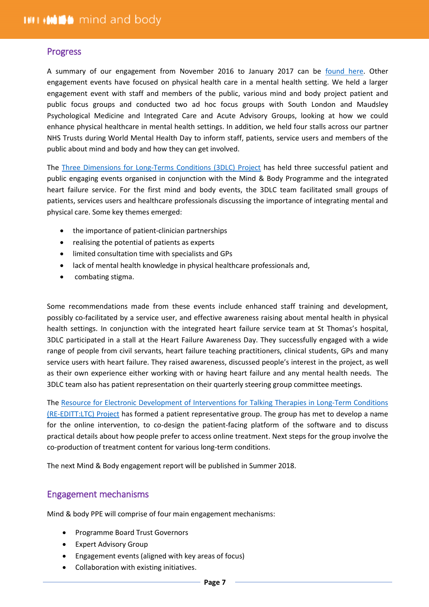#### <span id="page-6-0"></span>Progress

A summary of our engagement from November 2016 to January 2017 can be [found here.](http://www.kingshealthpartners.org/assets/000/001/043/Mind_and_Body_Programme_-_Engagement_Report_-_January_2017_-_Final_original.pdf) Other engagement events have focused on physical health care in a mental health setting. We held a larger engagement event with staff and members of the public, various mind and body project patient and public focus groups and conducted two ad hoc focus groups with South London and Maudsley Psychological Medicine and Integrated Care and Acute Advisory Groups, looking at how we could enhance physical healthcare in mental health settings. In addition, we held four stalls across our partner NHS Trusts during World Mental Health Day to inform staff, patients, service users and members of the public about mind and body and how they can get involved.

The [Three Dimensions for Long-Terms Conditions \(3DLC\) Project](https://www.kingshealthpartners.org/latest/427-3-dimensions-for-longterm-conditions) has held three successful patient and public engaging events organised in conjunction with the Mind & Body Programme and the integrated heart failure service. For the first mind and body events, the 3DLC team facilitated small groups of patients, services users and healthcare professionals discussing the importance of integrating mental and physical care. Some key themes emerged:

- the importance of patient-clinician partnerships
- realising the potential of patients as experts
- limited consultation time with specialists and GPs
- lack of mental health knowledge in physical healthcare professionals and,
- combating stigma.

Some recommendations made from these events include enhanced staff training and development, possibly co-facilitated by a service user, and effective awareness raising about mental health in physical health settings. In conjunction with the integrated heart failure service team at St Thomas's hospital, 3DLC participated in a stall at the Heart Failure Awareness Day. They successfully engaged with a wide range of people from civil servants, heart failure teaching practitioners, clinical students, GPs and many service users with heart failure. They raised awareness, discussed people's interest in the project, as well as their own experience either working with or having heart failure and any mental health needs. The 3DLC team also has patient representation on their quarterly steering group committee meetings.

The [Resource for Electronic Development of Interventions for Talking Therapies in Long-Term Conditions](https://www.kingshealthpartners.org/latest/1370-depression-and-anxiety-in-longterm-conditions-the-reeditt-project)  [\(RE-EDITT:LTC\) Project](https://www.kingshealthpartners.org/latest/1370-depression-and-anxiety-in-longterm-conditions-the-reeditt-project) has formed a patient representative group. The group has met to develop a name for the online intervention, to co-design the patient-facing platform of the software and to discuss practical details about how people prefer to access online treatment. Next steps for the group involve the co-production of treatment content for various long-term conditions.

<span id="page-6-1"></span>The next Mind & Body engagement report will be published in Summer 2018.

### Engagement mechanisms

Mind & body PPE will comprise of four main engagement mechanisms:

- Programme Board Trust Governors
- Expert Advisory Group
- Engagement events (aligned with key areas of focus)
- Collaboration with existing initiatives.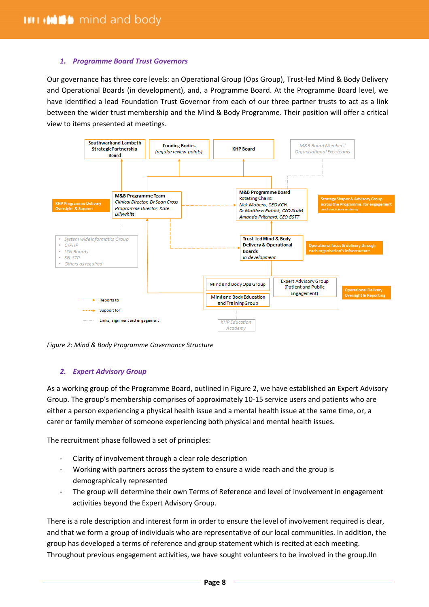#### *1. Programme Board Trust Governors*

Our governance has three core levels: an Operational Group (Ops Group), Trust-led Mind & Body Delivery and Operational Boards (in development), and, a Programme Board. At the Programme Board level, we have identified a lead Foundation Trust Governor from each of our three partner trusts to act as a link between the wider trust membership and the Mind & Body Programme. Their position will offer a critical view to items presented at meetings.



*Figure 2: Mind & Body Programme Governance Structure* 

#### *2. Expert Advisory Group*

As a working group of the Programme Board, outlined in Figure 2, we have established an Expert Advisory Group. The group's membership comprises of approximately 10-15 service users and patients who are either a person experiencing a physical health issue and a mental health issue at the same time, or, a carer or family member of someone experiencing both physical and mental health issues.

The recruitment phase followed a set of principles:

- Clarity of involvement through a clear role description
- Working with partners across the system to ensure a wide reach and the group is demographically represented
- The group will determine their own Terms of Reference and level of involvement in engagement activities beyond the Expert Advisory Group.

There is a role description and interest form in order to ensure the level of involvement required is clear, and that we form a group of individuals who are representative of our local communities. In addition, the group has developed a terms of reference and group statement which is recited at each meeting. Throughout previous engagement activities, we have sought volunteers to be involved in the group.IIn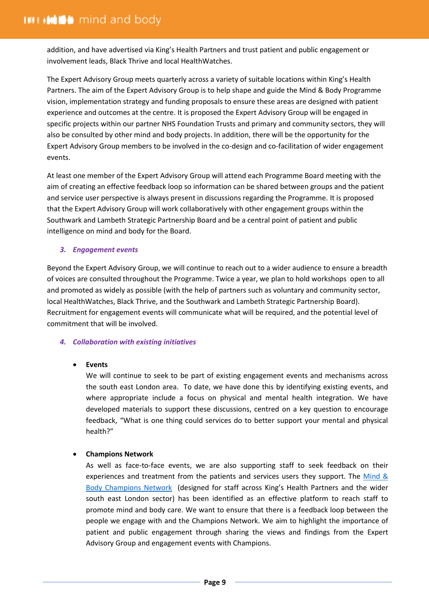addition, and have advertised via King's Health Partners and trust patient and public engagement or involvement leads, Black Thrive and local HealthWatches.

The Expert Advisory Group meets quarterly across a variety of suitable locations within King's Health Partners. The aim of the Expert Advisory Group is to help shape and guide the Mind & Body Programme vision, implementation strategy and funding proposals to ensure these areas are designed with patient experience and outcomes at the centre. It is proposed the Expert Advisory Group will be engaged in specific projects within our partner NHS Foundation Trusts and primary and community sectors, they will also be consulted by other mind and body projects. In addition, there will be the opportunity for the Expert Advisory Group members to be involved in the co-design and co-facilitation of wider engagement events.

At least one member of the Expert Advisory Group will attend each Programme Board meeting with the aim of creating an effective feedback loop so information can be shared between groups and the patient and service user perspective is always present in discussions regarding the Programme. It is proposed that the Expert Advisory Group will work collaboratively with other engagement groups within the Southwark and Lambeth Strategic Partnership Board and be a central point of patient and public intelligence on mind and body for the Board.

#### *3. Engagement events*

Beyond the Expert Advisory Group, we will continue to reach out to a wider audience to ensure a breadth of voices are consulted throughout the Programme. Twice a year, we plan to hold workshops open to all and promoted as widely as possible (with the help of partners such as voluntary and community sector, local HealthWatches, Black Thrive, and the Southwark and Lambeth Strategic Partnership Board). Recruitment for engagement events will communicate what will be required, and the potential level of commitment that will be involved.

#### *4. Collaboration with existing initiatives*

#### **Events**

We will continue to seek to be part of existing engagement events and mechanisms across the south east London area. To date, we have done this by identifying existing events, and where appropriate include a focus on physical and mental health integration. We have developed materials to support these discussions, centred on a key question to encourage feedback, "What is one thing could services do to better support your mental and physical health?"

#### **Champions Network**

As well as face-to-face events, we are also supporting staff to seek feedback on their experiences and treatment from the patients and services users they support. The [Mind &](http://www.kingshealthpartners.org/mindbody/champions) [Body Champions Network](http://www.kingshealthpartners.org/mindbody/champions) (designed for staff across King's Health Partners and the wider south east London sector) has been identified as an effective platform to reach staff to promote mind and body care. We want to ensure that there is a feedback loop between the people we engage with and the Champions Network. We aim to highlight the importance of patient and public engagement through sharing the views and findings from the Expert Advisory Group and engagement events with Champions.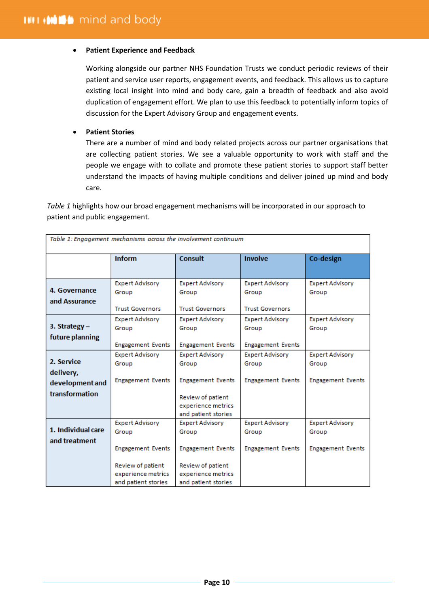#### **Patient Experience and Feedback**

Working alongside our partner NHS Foundation Trusts we conduct periodic reviews of their patient and service user reports, engagement events, and feedback. This allows us to capture existing local insight into mind and body care, gain a breadth of feedback and also avoid duplication of engagement effort. We plan to use this feedback to potentially inform topics of discussion for the Expert Advisory Group and engagement events.

#### **Patient Stories**

There are a number of mind and body related projects across our partner organisations that are collecting patient stories. We see a valuable opportunity to work with staff and the people we engage with to collate and promote these patient stories to support staff better understand the impacts of having multiple conditions and deliver joined up mind and body care.

*Table 1* highlights how our broad engagement mechanisms will be incorporated in our approach to patient and public engagement.

|                                     |                                                                | Table 1: Engagement mechanisms across the involvement continuum |                                                  |                                 |
|-------------------------------------|----------------------------------------------------------------|-----------------------------------------------------------------|--------------------------------------------------|---------------------------------|
|                                     | <b>Inform</b>                                                  | <b>Consult</b>                                                  | <b>Involve</b>                                   | Co-design                       |
| 4. Governance<br>and Assurance      | <b>Expert Advisory</b><br>Group                                | <b>Expert Advisory</b><br>Group                                 | <b>Expert Advisory</b><br>Group                  | <b>Expert Advisory</b><br>Group |
|                                     | <b>Trust Governors</b><br><b>Expert Advisory</b>               | <b>Trust Governors</b><br><b>Expert Advisory</b>                | <b>Trust Governors</b><br><b>Expert Advisory</b> | <b>Expert Advisory</b>          |
| 3. Strategy -<br>future planning    | Group                                                          | Group                                                           | Group                                            | Group                           |
|                                     | <b>Engagement Events</b>                                       | <b>Engagement Events</b>                                        | <b>Engagement Events</b>                         |                                 |
| 2. Service<br>delivery,             | <b>Expert Advisory</b><br>Group                                | <b>Expert Advisory</b><br>Group                                 | <b>Expert Advisory</b><br>Group                  | <b>Expert Advisory</b><br>Group |
| development and                     | <b>Engagement Events</b>                                       | <b>Engagement Events</b>                                        | <b>Engagement Events</b>                         | <b>Engagement Events</b>        |
| transformation                      |                                                                | Review of patient<br>experience metrics<br>and patient stories  |                                                  |                                 |
| 1. Individual care<br>and treatment | <b>Expert Advisory</b><br>Group                                | <b>Expert Advisory</b><br>Group                                 | <b>Expert Advisory</b><br>Group                  | <b>Expert Advisory</b><br>Group |
|                                     | <b>Engagement Events</b>                                       | <b>Engagement Events</b>                                        | <b>Engagement Events</b>                         | <b>Engagement Events</b>        |
|                                     | Review of patient<br>experience metrics<br>and patient stories | Review of patient<br>experience metrics<br>and patient stories  |                                                  |                                 |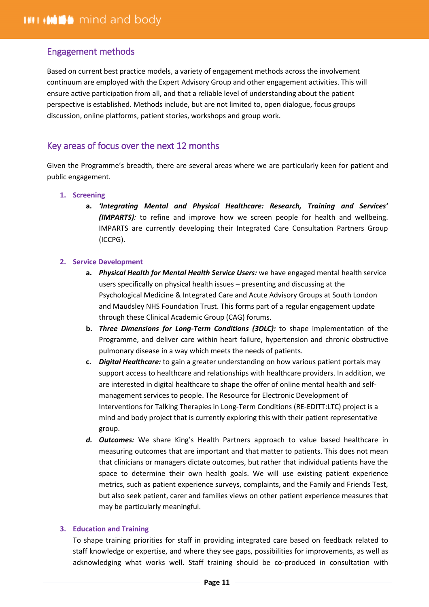# <span id="page-10-0"></span>Engagement methods

Based on current best practice models, a variety of engagement methods across the involvement continuum are employed with the Expert Advisory Group and other engagement activities. This will ensure active participation from all, and that a reliable level of understanding about the patient perspective is established. Methods include, but are not limited to, open dialogue, focus groups discussion, online platforms, patient stories, workshops and group work.

# <span id="page-10-1"></span>Key areas of focus over the next 12 months

Given the Programme's breadth, there are several areas where we are particularly keen for patient and public engagement.

- **1. Screening**
	- **a.** *'Integrating Mental and Physical Healthcare: Research, Training and Services' (IMPARTS):* to refine and improve how we screen people for health and wellbeing. IMPARTS are currently developing their Integrated Care Consultation Partners Group (ICCPG).

#### **2. Service Development**

- **a.** *Physical Health for Mental Health Service Users:* we have engaged mental health service users specifically on physical health issues – presenting and discussing at the Psychological Medicine & Integrated Care and Acute Advisory Groups at South London and Maudsley NHS Foundation Trust. This forms part of a regular engagement update through these Clinical Academic Group (CAG) forums.
- **b.** *Three Dimensions for Long-Term Conditions (3DLC):* to shape implementation of the Programme, and deliver care within heart failure, hypertension and chronic obstructive pulmonary disease in a way which meets the needs of patients.
- **c.** *Digital Healthcare:* to gain a greater understanding on how various patient portals may support access to healthcare and relationships with healthcare providers. In addition, we are interested in digital healthcare to shape the offer of online mental health and selfmanagement services to people. The Resource for Electronic Development of Interventions for Talking Therapies in Long-Term Conditions (RE-EDITT:LTC) project is a mind and body project that is currently exploring this with their patient representative group.
- *d. Outcomes:* We share King's Health Partners approach to value based healthcare in measuring outcomes that are important and that matter to patients. This does not mean that clinicians or managers dictate outcomes, but rather that individual patients have the space to determine their own health goals. We will use existing patient experience metrics, such as patient experience surveys, complaints, and the Family and Friends Test, but also seek patient, carer and families views on other patient experience measures that may be particularly meaningful.

#### **3. Education and Training**

To shape training priorities for staff in providing integrated care based on feedback related to staff knowledge or expertise, and where they see gaps, possibilities for improvements, as well as acknowledging what works well. Staff training should be co-produced in consultation with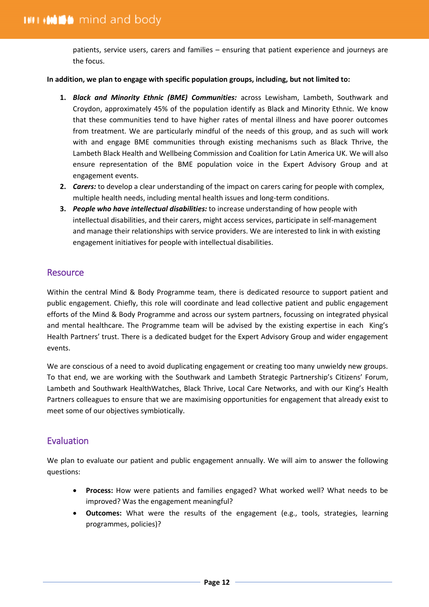patients, service users, carers and families – ensuring that patient experience and journeys are the focus.

#### **In addition, we plan to engage with specific population groups, including, but not limited to:**

- **1.** *Black and Minority Ethnic (BME) Communities:* across Lewisham, Lambeth, Southwark and Croydon, approximately 45% of the population identify as Black and Minority Ethnic. We know that these communities tend to have higher rates of mental illness and have poorer outcomes from treatment. We are particularly mindful of the needs of this group, and as such will work with and engage BME communities through existing mechanisms such as Black Thrive, the Lambeth Black Health and Wellbeing Commission and Coalition for Latin America UK. We will also ensure representation of the BME population voice in the Expert Advisory Group and at engagement events.
- **2.** *Carers:* to develop a clear understanding of the impact on carers caring for people with complex, multiple health needs, including mental health issues and long-term conditions.
- **3.** *People who have intellectual disabilities:* to increase understanding of how people with intellectual disabilities, and their carers, might access services, participate in self-management and manage their relationships with service providers. We are interested to link in with existing engagement initiatives for people with intellectual disabilities.

### <span id="page-11-0"></span>**Resource**

Within the central Mind & Body Programme team, there is dedicated resource to support patient and public engagement. Chiefly, this role will coordinate and lead collective patient and public engagement efforts of the Mind & Body Programme and across our system partners, focussing on integrated physical and mental healthcare. The Programme team will be advised by the existing expertise in each King's Health Partners' trust. There is a dedicated budget for the Expert Advisory Group and wider engagement events.

We are conscious of a need to avoid duplicating engagement or creating too many unwieldy new groups. To that end, we are working with the Southwark and Lambeth Strategic Partnership's Citizens' Forum, Lambeth and Southwark HealthWatches, Black Thrive, Local Care Networks, and with our King's Health Partners colleagues to ensure that we are maximising opportunities for engagement that already exist to meet some of our objectives symbiotically.

# <span id="page-11-1"></span>Evaluation

We plan to evaluate our patient and public engagement annually. We will aim to answer the following questions:

- **Process:** How were patients and families engaged? What worked well? What needs to be improved? Was the engagement meaningful?
- **Outcomes:** What were the results of the engagement (e.g., tools, strategies, learning programmes, policies)?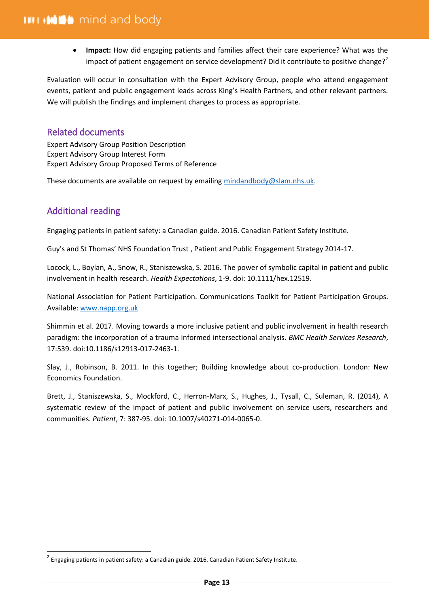**Impact:** How did engaging patients and families affect their care experience? What was the impact of patient engagement on service development? Did it contribute to positive change?<sup>2</sup>

Evaluation will occur in consultation with the Expert Advisory Group, people who attend engagement events, patient and public engagement leads across King's Health Partners, and other relevant partners. We will publish the findings and implement changes to process as appropriate.

# <span id="page-12-0"></span>Related documents

Expert Advisory Group Position Description Expert Advisory Group Interest Form Expert Advisory Group Proposed Terms of Reference

These documents are available on request by emailing [mindandbody@slam.nhs.uk.](mailto:mindandbody@slam.nhs.uk)

# <span id="page-12-1"></span>Additional reading

 $\overline{a}$ 

Engaging patients in patient safety: a Canadian guide. 2016. Canadian Patient Safety Institute.

Guy's and St Thomas' NHS Foundation Trust , Patient and Public Engagement Strategy 2014-17.

Locock, L., Boylan, A., Snow, R., Staniszewska, S. 2016. The power of symbolic capital in patient and public involvement in health research. *Health Expectations*, 1-9. doi: 10.1111/hex.12519.

National Association for Patient Participation. Communications Toolkit for Patient Participation Groups. Available: [www.napp.org.uk](http://www.napp.org.uk/)

Shimmin et al. 2017. Moving towards a more inclusive patient and public involvement in health research paradigm: the incorporation of a trauma informed intersectional analysis. *BMC Health Services Research*, 17:539. doi:10.1186/s12913-017-2463-1.

Slay, J., Robinson, B. 2011. In this together; Building knowledge about co-production. London: New Economics Foundation.

Brett, J., Staniszewska, S., Mockford, C., Herron-Marx, S., Hughes, J., Tysall, C., Suleman, R. (2014), A systematic review of the impact of patient and public involvement on service users, researchers and communities. *Patient*, 7: 387-95. doi: 10.1007/s40271-014-0065-0.

 $^2$  Engaging patients in patient safety: a Canadian guide. 2016. Canadian Patient Safety Institute.